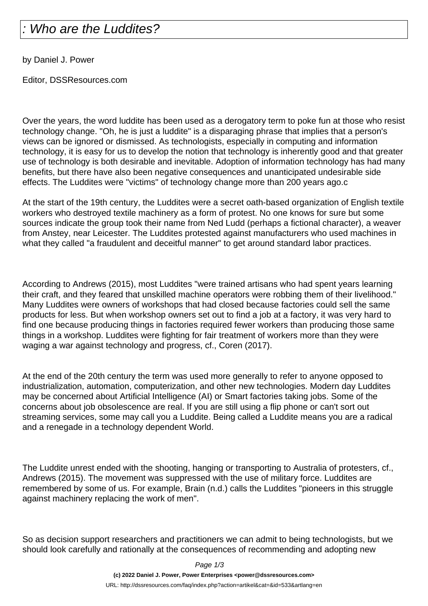## Who are the Luddites?

by Daniel J. Power

Editor, DSSResources.com

Over the years, the word luddite has been used as a derogatory term to poke fun at those who resist technology change. "Oh, he is just a luddite" is a disparaging phrase that implies that a person's views can be ignored or dismissed. As technologists, especially in computing and information technology, it is easy for us to develop the notion that technology is inherently good and that greater use of technology is both desirable and inevitable. Adoption of information technology has had many benefits, but there have also been negative consequences and unanticipated undesirable side effects. The Luddites were "victims" of technology change more than 200 years ago.c

At the start of the 19th century, the Luddites were a secret oath-based organization of English textile workers who destroyed textile machinery as a form of protest. No one knows for sure but some sources indicate the group took their name from Ned Ludd (perhaps a fictional character), a weaver from Anstey, near Leicester. The Luddites protested against manufacturers who used machines in what they called "a fraudulent and deceitful manner" to get around standard labor practices.

According to Andrews (2015), most Luddites "were trained artisans who had spent years learning their craft, and they feared that unskilled machine operators were robbing them of their livelihood." Many Luddites were owners of workshops that had closed because factories could sell the same products for less. But when workshop owners set out to find a job at a factory, it was very hard to find one because producing things in factories required fewer workers than producing those same things in a workshop. Luddites were fighting for fair treatment of workers more than they were waging a war against technology and progress, cf., Coren (2017).

At the end of the 20th century the term was used more generally to refer to anyone opposed to industrialization, automation, computerization, and other new technologies. Modern day Luddites may be concerned about Artificial Intelligence (AI) or Smart factories taking jobs. Some of the concerns about job obsolescence are real. If you are still using a flip phone or can't sort out streaming services, some may call you a Luddite. Being called a Luddite means you are a radical and a renegade in a technology dependent World.

The Luddite unrest ended with the shooting, hanging or transporting to Australia of protesters, cf., Andrews (2015). The movement was suppressed with the use of military force. Luddites are remembered by some of us. For example, Brain (n.d.) calls the Luddites "pioneers in this struggle against machinery replacing the work of men".

So as decision support researchers and practitioners we can admit to being technologists, but we should look carefully and rationally at the consequences of recommending and adopting new

Page 1/3

**(c) 2022 Daniel J. Power, Power Enterprises <power@dssresources.com>** URL: http://dssresources.com/faq/index.php?action=artikel&cat=&id=533&artlang=en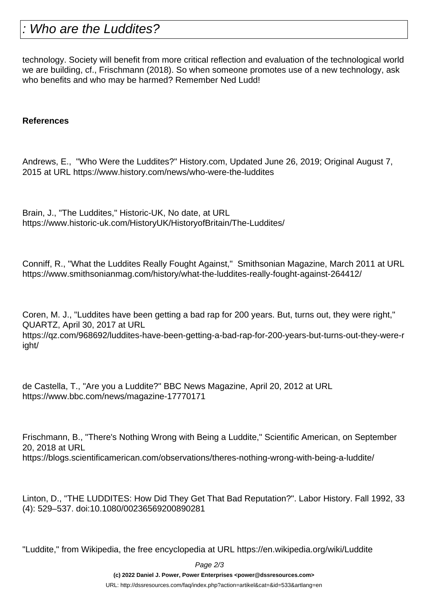## Who are the Luddites?

technology. Society will benefit from more critical reflection and evaluation of the technological world we are building, cf., Frischmann (2018). So when someone promotes use of a new technology, ask who benefits and who may be harmed? Remember Ned Ludd!

## **References**

Andrews, E., "Who Were the Luddites?" History.com, Updated June 26, 2019; Original August 7, 2015 at URL https://www.history.com/news/who-were-the-luddites

Brain, J., "The Luddites," Historic-UK, No date, at URL https://www.historic-uk.com/HistoryUK/HistoryofBritain/The-Luddites/

Conniff, R., "What the Luddites Really Fought Against," Smithsonian Magazine, March 2011 at URL https://www.smithsonianmag.com/history/what-the-luddites-really-fought-against-264412/

Coren, M. J., "Luddites have been getting a bad rap for 200 years. But, turns out, they were right," QUARTZ, April 30, 2017 at URL

https://qz.com/968692/luddites-have-been-getting-a-bad-rap-for-200-years-but-turns-out-they-were-r ight/

de Castella, T., "Are you a Luddite?" BBC News Magazine, April 20, 2012 at URL https://www.bbc.com/news/magazine-17770171

Frischmann, B., "There's Nothing Wrong with Being a Luddite," Scientific American, on September 20, 2018 at URL https://blogs.scientificamerican.com/observations/theres-nothing-wrong-with-being-a-luddite/

Linton, D., "THE LUDDITES: How Did They Get That Bad Reputation?". Labor History. Fall 1992, 33 (4): 529–537. doi:10.1080/00236569200890281

"Luddite," from Wikipedia, the free encyclopedia at URL https://en.wikipedia.org/wiki/Luddite

Page 2/3

**(c) 2022 Daniel J. Power, Power Enterprises <power@dssresources.com>**

URL: http://dssresources.com/faq/index.php?action=artikel&cat=&id=533&artlang=en